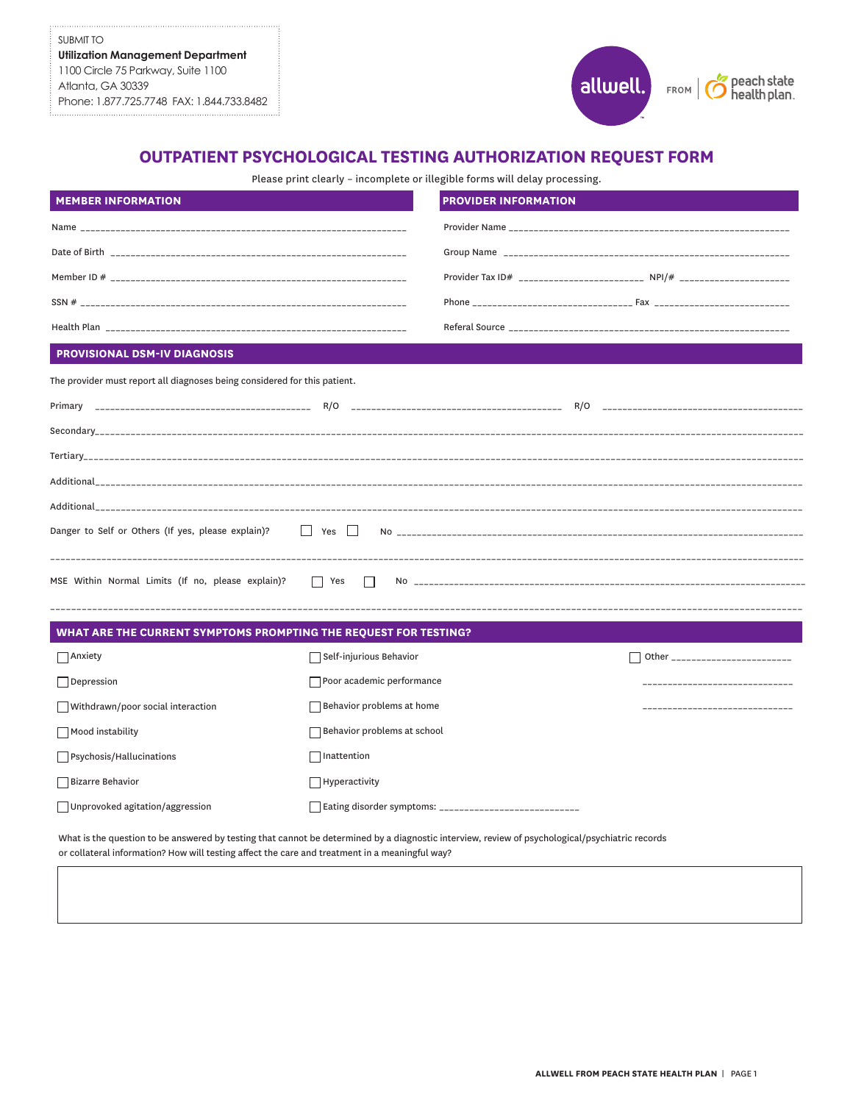SUBMIT TO **Utilization Management Department** 1100 Circle 75 Parkway, Suite 1100 Atlanta, GA 30339 Phone: 1.877.725.7748 FAX: 1.844.733.8482



## **OUTPATIENT PSYCHOLOGICAL TESTING AUTHORIZATION REQUEST FORM**

Please print clearly – incomplete or illegible forms will delay processing.

| <b>MEMBER INFORMATION</b>                                                 |                                     | <b>PROVIDER INFORMATION</b> |                                                                          |
|---------------------------------------------------------------------------|-------------------------------------|-----------------------------|--------------------------------------------------------------------------|
| Name _                                                                    |                                     |                             |                                                                          |
|                                                                           |                                     |                             |                                                                          |
|                                                                           |                                     |                             | Provider Tax ID# __________________________ NPI/# ______________________ |
|                                                                           |                                     |                             |                                                                          |
|                                                                           |                                     |                             |                                                                          |
| PROVISIONAL DSM-IV DIAGNOSIS                                              |                                     |                             |                                                                          |
| The provider must report all diagnoses being considered for this patient. |                                     |                             |                                                                          |
|                                                                           |                                     |                             |                                                                          |
|                                                                           |                                     |                             |                                                                          |
|                                                                           |                                     |                             |                                                                          |
|                                                                           |                                     |                             |                                                                          |
|                                                                           |                                     |                             |                                                                          |
| Danger to Self or Others (If yes, please explain)?                        | $\Box$ Yes $\Box$                   |                             |                                                                          |
| MSE Within Normal Limits (If no, please explain)?                         | $\Box$ Yes<br>$\Box$                |                             |                                                                          |
|                                                                           |                                     |                             |                                                                          |
| WHAT ARE THE CURRENT SYMPTOMS PROMPTING THE REQUEST FOR TESTING?          |                                     |                             |                                                                          |
| $\Box$ Anxiety                                                            | $\sqsupset$ Self-injurious Behavior |                             | Other ________________________                                           |
| Depression                                                                | Poor academic performance           |                             | -----------------------                                                  |
| Withdrawn/poor social interaction                                         | Behavior problems at home           |                             |                                                                          |
| Mood instability                                                          | Behavior problems at school         |                             |                                                                          |
| $\Box$ Psychosis/Hallucinations                                           | $\Box$ Inattention                  |                             |                                                                          |
| Bizarre Behavior                                                          | Hyperactivity                       |                             |                                                                          |
| □ Unprovoked agitation/aggression                                         |                                     |                             |                                                                          |
|                                                                           |                                     |                             |                                                                          |

What is the question to be answered by testing that cannot be determined by a diagnostic interview, review of psychological/psychiatric records or collateral information? How will testing affect the care and treatment in a meaningful way?